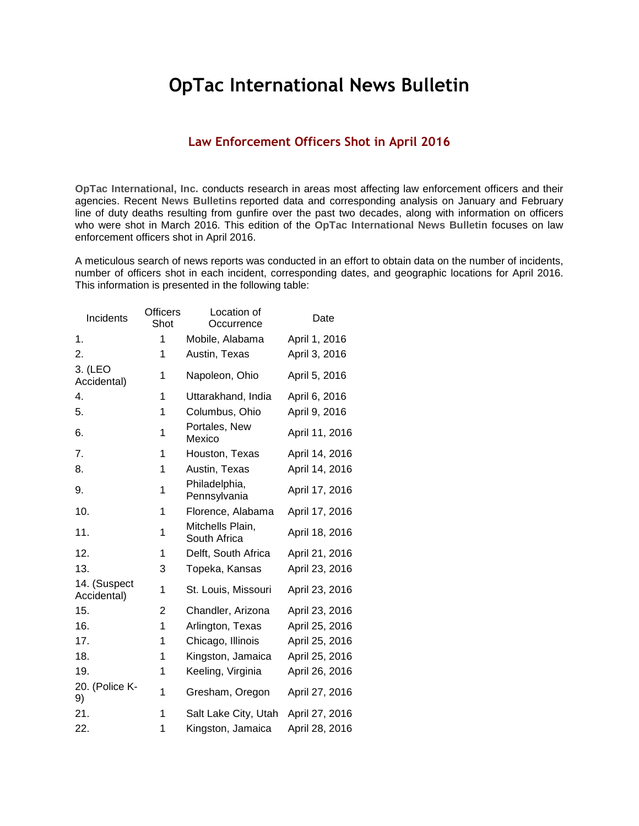## **OpTac International News Bulletin**

## **Law Enforcement Officers Shot in April 2016**

**OpTac International, Inc.** conducts research in areas most affecting law enforcement officers and their agencies. Recent **News Bulletins** reported data and corresponding analysis on January and February line of duty deaths resulting from gunfire over the past two decades, along with information on officers who were shot in March 2016. This edition of the **OpTac International News Bulletin** focuses on law enforcement officers shot in April 2016.

A meticulous search of news reports was conducted in an effort to obtain data on the number of incidents, number of officers shot in each incident, corresponding dates, and geographic locations for April 2016. This information is presented in the following table:

| Incidents                   | <b>Officers</b><br>Shot | Location of<br>Occurrence        | Date           |
|-----------------------------|-------------------------|----------------------------------|----------------|
| 1.                          | 1                       | Mobile, Alabama                  | April 1, 2016  |
| 2.                          | 1                       | Austin, Texas                    | April 3, 2016  |
| 3. (LEO<br>Accidental)      | 1                       | Napoleon, Ohio                   | April 5, 2016  |
| 4.                          | 1                       | Uttarakhand, India               | April 6, 2016  |
| 5.                          | 1                       | Columbus, Ohio                   | April 9, 2016  |
| 6.                          | 1                       | Portales, New<br>Mexico          | April 11, 2016 |
| 7.                          | 1                       | Houston, Texas                   | April 14, 2016 |
| 8.                          | 1                       | Austin, Texas                    | April 14, 2016 |
| 9.                          | 1                       | Philadelphia,<br>Pennsylvania    | April 17, 2016 |
| 10.                         | 1                       | Florence, Alabama                | April 17, 2016 |
| 11.                         | 1                       | Mitchells Plain,<br>South Africa | April 18, 2016 |
| 12.                         | 1                       | Delft, South Africa              | April 21, 2016 |
| 13.                         | 3                       | Topeka, Kansas                   | April 23, 2016 |
| 14. (Suspect<br>Accidental) | 1                       | St. Louis, Missouri              | April 23, 2016 |
| 15.                         | 2                       | Chandler, Arizona                | April 23, 2016 |
| 16.                         | 1                       | Arlington, Texas                 | April 25, 2016 |
| 17.                         | 1                       | Chicago, Illinois                | April 25, 2016 |
| 18.                         | 1                       | Kingston, Jamaica                | April 25, 2016 |
| 19.                         | 1                       | Keeling, Virginia                | April 26, 2016 |
| 20. (Police K-<br>9)        | 1                       | Gresham, Oregon                  | April 27, 2016 |
| 21.                         | 1                       | Salt Lake City, Utah             | April 27, 2016 |
| 22.                         | 1                       | Kingston, Jamaica                | April 28, 2016 |